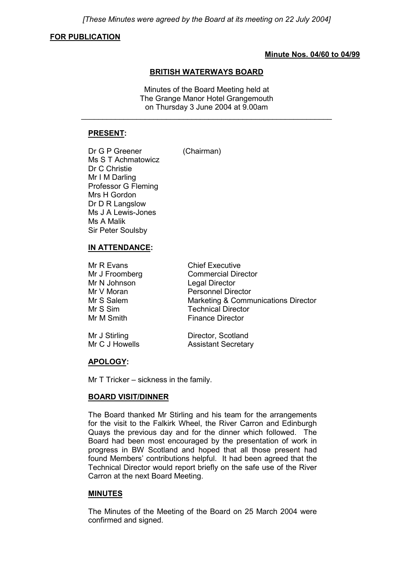*[These Minutes were agreed by the Board at its meeting on 22 July 2004]*

#### **FOR PUBLICATION**

### **Minute Nos. 04/60 to 04/99**

#### **BRITISH WATERWAYS BOARD**

Minutes of the Board Meeting held at The Grange Manor Hotel Grangemouth on Thursday 3 June 2004 at 9.00am

\_\_\_\_\_\_\_\_\_\_\_\_\_\_\_\_\_\_\_\_\_\_\_\_\_\_\_\_\_\_\_\_\_\_\_\_\_\_\_\_\_\_\_\_\_\_\_\_\_\_\_\_\_\_\_\_\_\_\_

### **PRESENT:**

Dr G P Greener (Chairman)

Ms S T Achmatowicz Dr C Christie Mr I M Darling Professor G Fleming Mrs H Gordon Dr D R Langslow Ms J A Lewis-Jones Ms A Malik Sir Peter Soulsby

**IN ATTENDANCE:** Mr R Evans Chief Executive Mr J Froomberg Commercial Director Mr N Johnson Legal Director Mr V Moran Personnel Director Mr S Salem Marketing & Communications Director Mr S Sim Technical Director Mr M Smith Finance Director

| Mr J Stirling  | Director, Scotland         |
|----------------|----------------------------|
| Mr C J Howells | <b>Assistant Secretary</b> |

## **APOLOGY:**

Mr T Tricker – sickness in the family.

#### **BOARD VISIT/DINNER**

The Board thanked Mr Stirling and his team for the arrangements for the visit to the Falkirk Wheel, the River Carron and Edinburgh Quays the previous day and for the dinner which followed. The Board had been most encouraged by the presentation of work in progress in BW Scotland and hoped that all those present had found Members' contributions helpful. It had been agreed that the Technical Director would report briefly on the safe use of the River Carron at the next Board Meeting.

## **MINUTES**

The Minutes of the Meeting of the Board on 25 March 2004 were confirmed and signed.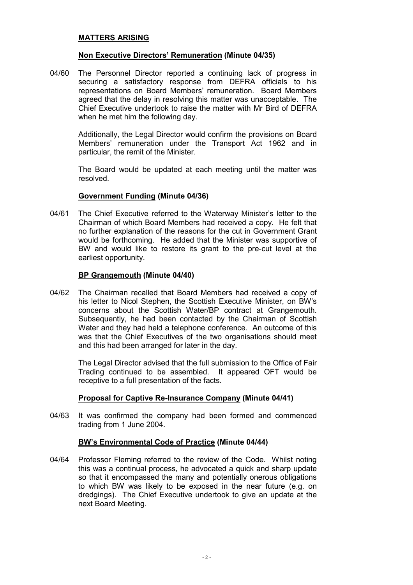#### **MATTERS ARISING**

#### **Non Executive Directors' Remuneration (Minute 04/35)**

04/60 The Personnel Director reported a continuing lack of progress in securing a satisfactory response from DEFRA officials to his representations on Board Members' remuneration. Board Members agreed that the delay in resolving this matter was unacceptable. The Chief Executive undertook to raise the matter with Mr Bird of DEFRA when he met him the following day.

> Additionally, the Legal Director would confirm the provisions on Board Members' remuneration under the Transport Act 1962 and in particular, the remit of the Minister.

> The Board would be updated at each meeting until the matter was resolved.

#### **Government Funding (Minute 04/36)**

04/61 The Chief Executive referred to the Waterway Minister's letter to the Chairman of which Board Members had received a copy. He felt that no further explanation of the reasons for the cut in Government Grant would be forthcoming. He added that the Minister was supportive of BW and would like to restore its grant to the pre-cut level at the earliest opportunity.

#### **BP Grangemouth (Minute 04/40)**

04/62 The Chairman recalled that Board Members had received a copy of his letter to Nicol Stephen, the Scottish Executive Minister, on BW's concerns about the Scottish Water/BP contract at Grangemouth. Subsequently, he had been contacted by the Chairman of Scottish Water and they had held a telephone conference. An outcome of this was that the Chief Executives of the two organisations should meet and this had been arranged for later in the day.

> The Legal Director advised that the full submission to the Office of Fair Trading continued to be assembled. It appeared OFT would be receptive to a full presentation of the facts.

## **Proposal for Captive Re-Insurance Company (Minute 04/41)**

04/63 It was confirmed the company had been formed and commenced trading from 1 June 2004.

### **BW's Environmental Code of Practice (Minute 04/44)**

04/64 Professor Fleming referred to the review of the Code. Whilst noting this was a continual process, he advocated a quick and sharp update so that it encompassed the many and potentially onerous obligations to which BW was likely to be exposed in the near future (e.g. on dredgings). The Chief Executive undertook to give an update at the next Board Meeting.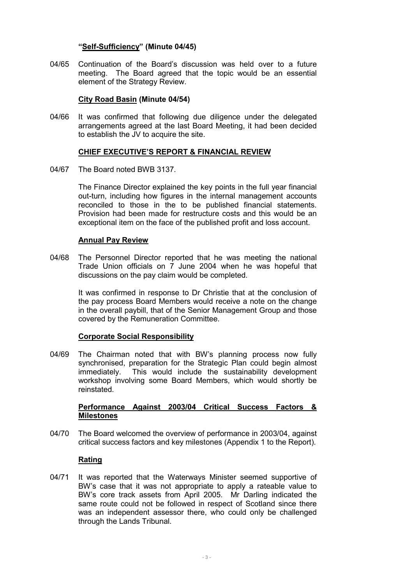## **"Self-Sufficiency" (Minute 04/45)**

04/65 Continuation of the Board's discussion was held over to a future meeting. The Board agreed that the topic would be an essential element of the Strategy Review.

#### **City Road Basin (Minute 04/54)**

04/66 It was confirmed that following due diligence under the delegated arrangements agreed at the last Board Meeting, it had been decided to establish the JV to acquire the site.

### **CHIEF EXECUTIVE'S REPORT & FINANCIAL REVIEW**

04/67 The Board noted BWB 3137.

The Finance Director explained the key points in the full year financial out-turn, including how figures in the internal management accounts reconciled to those in the to be published financial statements. Provision had been made for restructure costs and this would be an exceptional item on the face of the published profit and loss account.

### **Annual Pay Review**

04/68 The Personnel Director reported that he was meeting the national Trade Union officials on 7 June 2004 when he was hopeful that discussions on the pay claim would be completed.

> It was confirmed in response to Dr Christie that at the conclusion of the pay process Board Members would receive a note on the change in the overall paybill, that of the Senior Management Group and those covered by the Remuneration Committee.

#### **Corporate Social Responsibility**

04/69 The Chairman noted that with BW's planning process now fully synchronised, preparation for the Strategic Plan could begin almost immediately. This would include the sustainability development workshop involving some Board Members, which would shortly be reinstated.

### **Performance Against 2003/04 Critical Success Factors & Milestones**

04/70 The Board welcomed the overview of performance in 2003/04, against critical success factors and key milestones (Appendix 1 to the Report).

## **Rating**

04/71 It was reported that the Waterways Minister seemed supportive of BW's case that it was not appropriate to apply a rateable value to BW's core track assets from April 2005. Mr Darling indicated the same route could not be followed in respect of Scotland since there was an independent assessor there, who could only be challenged through the Lands Tribunal.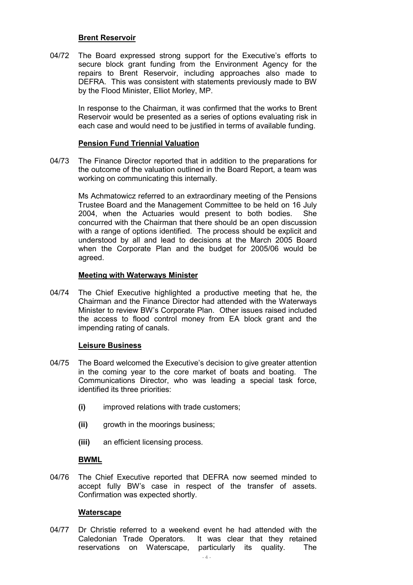#### **Brent Reservoir**

04/72 The Board expressed strong support for the Executive's efforts to secure block grant funding from the Environment Agency for the repairs to Brent Reservoir, including approaches also made to DEFRA. This was consistent with statements previously made to BW by the Flood Minister, Elliot Morley, MP.

> In response to the Chairman, it was confirmed that the works to Brent Reservoir would be presented as a series of options evaluating risk in each case and would need to be justified in terms of available funding.

### **Pension Fund Triennial Valuation**

04/73 The Finance Director reported that in addition to the preparations for the outcome of the valuation outlined in the Board Report, a team was working on communicating this internally.

> Ms Achmatowicz referred to an extraordinary meeting of the Pensions Trustee Board and the Management Committee to be held on 16 July 2004, when the Actuaries would present to both bodies. She concurred with the Chairman that there should be an open discussion with a range of options identified. The process should be explicit and understood by all and lead to decisions at the March 2005 Board when the Corporate Plan and the budget for 2005/06 would be agreed.

### **Meeting with Waterways Minister**

04/74 The Chief Executive highlighted a productive meeting that he, the Chairman and the Finance Director had attended with the Waterways Minister to review BW's Corporate Plan. Other issues raised included the access to flood control money from EA block grant and the impending rating of canals.

## **Leisure Business**

- 04/75 The Board welcomed the Executive's decision to give greater attention in the coming year to the core market of boats and boating. The Communications Director, who was leading a special task force, identified its three priorities:
	- **(i)** improved relations with trade customers;
	- **(ii)** growth in the moorings business;
	- **(iii)** an efficient licensing process.

## **BWML**

04/76 The Chief Executive reported that DEFRA now seemed minded to accept fully BW's case in respect of the transfer of assets. Confirmation was expected shortly.

#### **Waterscape**

04/77 Dr Christie referred to a weekend event he had attended with the Caledonian Trade Operators. It was clear that they retained reservations on Waterscape, particularly its quality. The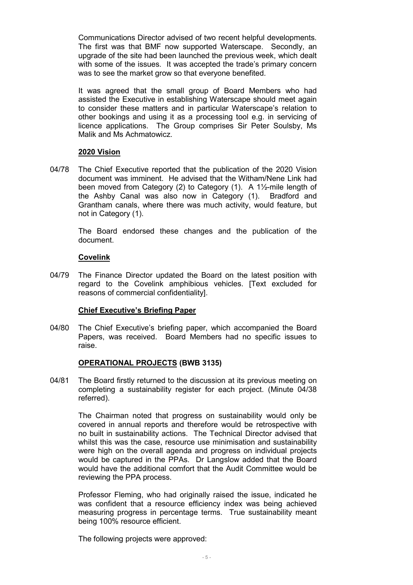Communications Director advised of two recent helpful developments. The first was that BMF now supported Waterscape. Secondly, an upgrade of the site had been launched the previous week, which dealt with some of the issues. It was accepted the trade's primary concern was to see the market grow so that everyone benefited.

It was agreed that the small group of Board Members who had assisted the Executive in establishing Waterscape should meet again to consider these matters and in particular Waterscape's relation to other bookings and using it as a processing tool e.g. in servicing of licence applications. The Group comprises Sir Peter Soulsby, Ms Malik and Ms Achmatowicz.

### **2020 Vision**

04/78 The Chief Executive reported that the publication of the 2020 Vision document was imminent. He advised that the Witham/Nene Link had been moved from Category (2) to Category (1). A 1½-mile length of the Ashby Canal was also now in Category (1). Bradford and Grantham canals, where there was much activity, would feature, but not in Category (1).

> The Board endorsed these changes and the publication of the document.

### **Covelink**

04/79 The Finance Director updated the Board on the latest position with regard to the Covelink amphibious vehicles. [Text excluded for reasons of commercial confidentiality].

## **Chief Executive's Briefing Paper**

04/80 The Chief Executive's briefing paper, which accompanied the Board Papers, was received. Board Members had no specific issues to raise.

## **OPERATIONAL PROJECTS (BWB 3135)**

04/81 The Board firstly returned to the discussion at its previous meeting on completing a sustainability register for each project. (Minute 04/38 referred).

> The Chairman noted that progress on sustainability would only be covered in annual reports and therefore would be retrospective with no built in sustainability actions. The Technical Director advised that whilst this was the case, resource use minimisation and sustainability were high on the overall agenda and progress on individual projects would be captured in the PPAs. Dr Langslow added that the Board would have the additional comfort that the Audit Committee would be reviewing the PPA process.

> Professor Fleming, who had originally raised the issue, indicated he was confident that a resource efficiency index was being achieved measuring progress in percentage terms. True sustainability meant being 100% resource efficient.

The following projects were approved: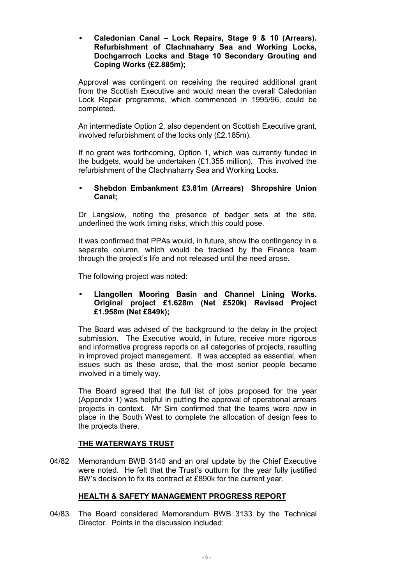• **Caledonian Canal – Lock Repairs, Stage 9 & 10 (Arrears). Refurbishment of Clachnaharry Sea and Working Locks, Dochgarroch Locks and Stage 10 Secondary Grouting and Coping Works (£2.885m);**

Approval was contingent on receiving the required additional grant from the Scottish Executive and would mean the overall Caledonian Lock Repair programme, which commenced in 1995/96, could be completed.

An intermediate Option 2, also dependent on Scottish Executive grant, involved refurbishment of the locks only (£2.185m).

If no grant was forthcoming, Option 1, which was currently funded in the budgets, would be undertaken (£1.355 million). This involved the refurbishment of the Clachnaharry Sea and Working Locks.

## • **Shebdon Embankment £3.81m (Arrears) Shropshire Union Canal;**

Dr Langslow, noting the presence of badger sets at the site, underlined the work timing risks, which this could pose.

It was confirmed that PPAs would, in future, show the contingency in a separate column, which would be tracked by the Finance team through the project's life and not released until the need arose.

The following project was noted:

## • **Llangollen Mooring Basin and Channel Lining Works. Original project £1.628m (Net £520k) Revised Project £1.958m (Net £849k);**

The Board was advised of the background to the delay in the project submission. The Executive would, in future, receive more rigorous and informative progress reports on all categories of projects, resulting in improved project management. It was accepted as essential, when issues such as these arose, that the most senior people became involved in a timely way.

The Board agreed that the full list of jobs proposed for the year (Appendix 1) was helpful in putting the approval of operational arrears projects in context. Mr Sim confirmed that the teams were now in place in the South West to complete the allocation of design fees to the projects there.

## **THE WATERWAYS TRUST**

04/82 Memorandum BWB 3140 and an oral update by the Chief Executive were noted. He felt that the Trust's outturn for the year fully justified BW's decision to fix its contract at £890k for the current year.

# **HEALTH & SAFETY MANAGEMENT PROGRESS REPORT**

04/83 The Board considered Memorandum BWB 3133 by the Technical Director. Points in the discussion included: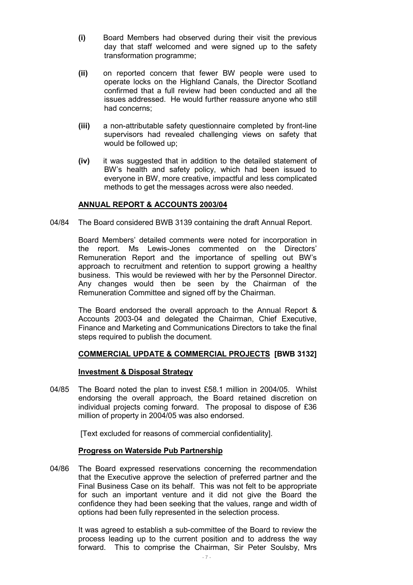- **(i)** Board Members had observed during their visit the previous day that staff welcomed and were signed up to the safety transformation programme;
- **(ii)** on reported concern that fewer BW people were used to operate locks on the Highland Canals, the Director Scotland confirmed that a full review had been conducted and all the issues addressed. He would further reassure anyone who still had concerns;
- **(iii)** a non-attributable safety questionnaire completed by front-line supervisors had revealed challenging views on safety that would be followed up;
- **(iv)** it was suggested that in addition to the detailed statement of BW's health and safety policy, which had been issued to everyone in BW, more creative, impactful and less complicated methods to get the messages across were also needed.

## **ANNUAL REPORT & ACCOUNTS 2003/04**

04/84 The Board considered BWB 3139 containing the draft Annual Report.

Board Members' detailed comments were noted for incorporation in the report. Ms Lewis-Jones commented on the Directors' Remuneration Report and the importance of spelling out BW's approach to recruitment and retention to support growing a healthy business. This would be reviewed with her by the Personnel Director. Any changes would then be seen by the Chairman of the Remuneration Committee and signed off by the Chairman.

The Board endorsed the overall approach to the Annual Report & Accounts 2003-04 and delegated the Chairman, Chief Executive, Finance and Marketing and Communications Directors to take the final steps required to publish the document.

## **COMMERCIAL UPDATE & COMMERCIAL PROJECTS [BWB 3132]**

#### **Investment & Disposal Strategy**

04/85 The Board noted the plan to invest £58.1 million in 2004/05. Whilst endorsing the overall approach, the Board retained discretion on individual projects coming forward. The proposal to dispose of £36 million of property in 2004/05 was also endorsed.

[Text excluded for reasons of commercial confidentiality].

#### **Progress on Waterside Pub Partnership**

04/86 The Board expressed reservations concerning the recommendation that the Executive approve the selection of preferred partner and the Final Business Case on its behalf. This was not felt to be appropriate for such an important venture and it did not give the Board the confidence they had been seeking that the values, range and width of options had been fully represented in the selection process.

> It was agreed to establish a sub-committee of the Board to review the process leading up to the current position and to address the way forward. This to comprise the Chairman, Sir Peter Soulsby, Mrs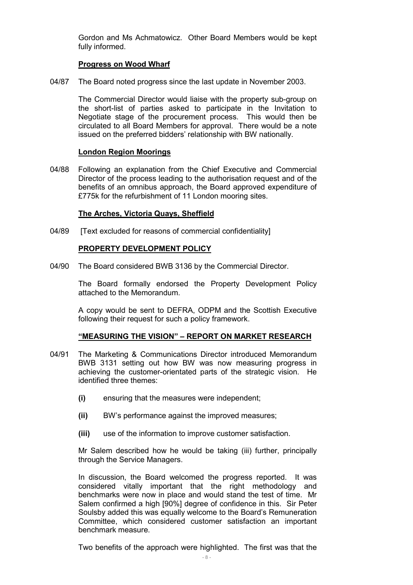Gordon and Ms Achmatowicz. Other Board Members would be kept fully informed.

## **Progress on Wood Wharf**

04/87 The Board noted progress since the last update in November 2003.

The Commercial Director would liaise with the property sub-group on the short-list of parties asked to participate in the Invitation to Negotiate stage of the procurement process. This would then be circulated to all Board Members for approval. There would be a note issued on the preferred bidders' relationship with BW nationally.

### **London Region Moorings**

04/88 Following an explanation from the Chief Executive and Commercial Director of the process leading to the authorisation request and of the benefits of an omnibus approach, the Board approved expenditure of £775k for the refurbishment of 11 London mooring sites.

### **The Arches, Victoria Quays, Sheffield**

04/89 [Text excluded for reasons of commercial confidentiality]

### **PROPERTY DEVELOPMENT POLICY**

04/90 The Board considered BWB 3136 by the Commercial Director.

The Board formally endorsed the Property Development Policy attached to the Memorandum.

A copy would be sent to DEFRA, ODPM and the Scottish Executive following their request for such a policy framework.

#### **"MEASURING THE VISION" – REPORT ON MARKET RESEARCH**

- 04/91 The Marketing & Communications Director introduced Memorandum BWB 3131 setting out how BW was now measuring progress in achieving the customer-orientated parts of the strategic vision. He identified three themes:
	- **(i)** ensuring that the measures were independent;
	- **(ii)** BW's performance against the improved measures;
	- **(iii)** use of the information to improve customer satisfaction.

Mr Salem described how he would be taking (iii) further, principally through the Service Managers.

In discussion, the Board welcomed the progress reported. It was considered vitally important that the right methodology and benchmarks were now in place and would stand the test of time. Mr Salem confirmed a high [90%] degree of confidence in this. Sir Peter Soulsby added this was equally welcome to the Board's Remuneration Committee, which considered customer satisfaction an important benchmark measure.

Two benefits of the approach were highlighted. The first was that the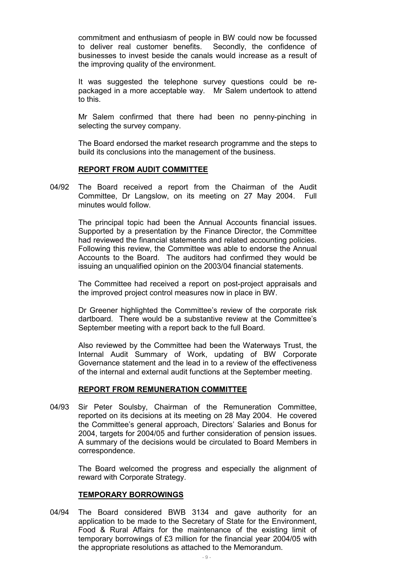commitment and enthusiasm of people in BW could now be focussed to deliver real customer benefits. Secondly, the confidence of businesses to invest beside the canals would increase as a result of the improving quality of the environment.

It was suggested the telephone survey questions could be repackaged in a more acceptable way. Mr Salem undertook to attend to this.

Mr Salem confirmed that there had been no penny-pinching in selecting the survey company.

The Board endorsed the market research programme and the steps to build its conclusions into the management of the business.

#### **REPORT FROM AUDIT COMMITTEE**

04/92 The Board received a report from the Chairman of the Audit Committee, Dr Langslow, on its meeting on 27 May 2004. Full minutes would follow.

> The principal topic had been the Annual Accounts financial issues. Supported by a presentation by the Finance Director, the Committee had reviewed the financial statements and related accounting policies. Following this review, the Committee was able to endorse the Annual Accounts to the Board. The auditors had confirmed they would be issuing an unqualified opinion on the 2003/04 financial statements.

> The Committee had received a report on post-project appraisals and the improved project control measures now in place in BW.

> Dr Greener highlighted the Committee's review of the corporate risk dartboard. There would be a substantive review at the Committee's September meeting with a report back to the full Board.

> Also reviewed by the Committee had been the Waterways Trust, the Internal Audit Summary of Work, updating of BW Corporate Governance statement and the lead in to a review of the effectiveness of the internal and external audit functions at the September meeting.

#### **REPORT FROM REMUNERATION COMMITTEE**

04/93 Sir Peter Soulsby, Chairman of the Remuneration Committee, reported on its decisions at its meeting on 28 May 2004. He covered the Committee's general approach, Directors' Salaries and Bonus for 2004, targets for 2004/05 and further consideration of pension issues. A summary of the decisions would be circulated to Board Members in correspondence.

> The Board welcomed the progress and especially the alignment of reward with Corporate Strategy.

#### **TEMPORARY BORROWINGS**

04/94 The Board considered BWB 3134 and gave authority for an application to be made to the Secretary of State for the Environment, Food & Rural Affairs for the maintenance of the existing limit of temporary borrowings of £3 million for the financial year 2004/05 with the appropriate resolutions as attached to the Memorandum.